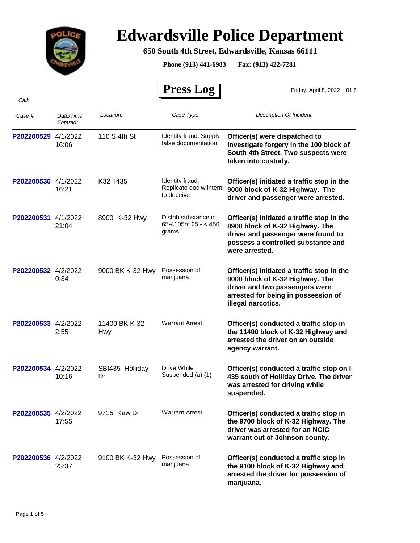

## **Edwardsville Police Department**

## **650 South 4th Street, Edwardsville, Kansas 66111**

**Phone (913) 441-6983 Fax: (913) 422-7281**

 $\mathbf{r}$ 

|                     |                       |                       | <b>Press Log</b>                                        | Friday, April 8, 2022<br>01:5                                                                                                                                                |
|---------------------|-----------------------|-----------------------|---------------------------------------------------------|------------------------------------------------------------------------------------------------------------------------------------------------------------------------------|
| Call:               |                       |                       |                                                         |                                                                                                                                                                              |
| Case #              | Date/Time<br>Entered: | Location:             | Case Type:                                              | <b>Description Of Incident</b>                                                                                                                                               |
| P202200529 4/1/2022 | 16:06                 | 110 S 4th St          | Identity fraud; Supply<br>false documentation           | Officer(s) were dispatched to<br>investigate forgery in the 100 block of<br>South 4th Street. Two suspects were<br>taken into custody.                                       |
| P202200530 4/1/2022 | 16:21                 | K32 1435              | Identity fraud;<br>Replicate doc w intent<br>to deceive | Officer(s) initiated a traffic stop in the<br>9000 block of K-32 Highway. The<br>driver and passenger were arrested.                                                         |
| P202200531          | 4/1/2022<br>21:04     | 8900 K-32 Hwy         | Distrib substance in<br>65-4105h; $25 - 450$<br>grams   | Officer(s) initiated a traffic stop in the<br>8900 block of K-32 Highway. The<br>driver and passenger were found to<br>possess a controlled substance and<br>were arrested.  |
| P202200532 4/2/2022 | 0:34                  | 9000 BK K-32 Hwy      | Possession of<br>marijuana                              | Officer(s) initiated a traffic stop in the<br>9000 block of K-32 Highway. The<br>driver and two passengers were<br>arrested for being in possession of<br>illegal narcotics. |
| P202200533 4/2/2022 | 2:55                  | 11400 BK K-32<br>Hwy  | <b>Warrant Arrest</b>                                   | Officer(s) conducted a traffic stop in<br>the 11400 block of K-32 Highway and<br>arrested the driver on an outside<br>agency warrant.                                        |
| P202200534 4/2/2022 | 10:16                 | SBI435 Holliday<br>Dr | Drive While<br>Suspended (a) (1)                        | Officer(s) conducted a traffic stop on I-<br>435 south of Holliday Drive. The driver<br>was arrested for driving while<br>suspended.                                         |
| P202200535 4/2/2022 | 17:55                 | 9715 Kaw Dr           | <b>Warrant Arrest</b>                                   | Officer(s) conducted a traffic stop in<br>the 9700 block of K-32 Highway. The<br>driver was arrested for an NCIC<br>warrant out of Johnson county.                           |
| P202200536 4/2/2022 | 23:37                 | 9100 BK K-32 Hwy      | Possession of<br>marijuana                              | Officer(s) conducted a traffic stop in<br>the 9100 block of K-32 Highway and<br>arrested the driver for possession of<br>marijuana.                                          |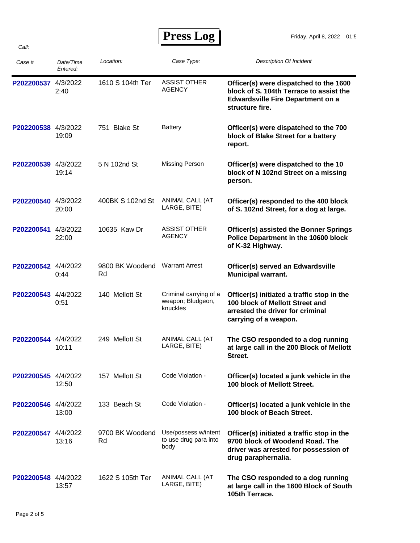| Case #              | Date/Time<br>Entered: | Location:             | Case Type:                                              | <b>Description Of Incident</b>                                                                                                                   |
|---------------------|-----------------------|-----------------------|---------------------------------------------------------|--------------------------------------------------------------------------------------------------------------------------------------------------|
| P202200537          | 4/3/2022<br>2:40      | 1610 S 104th Ter      | <b>ASSIST OTHER</b><br><b>AGENCY</b>                    | Officer(s) were dispatched to the 1600<br>block of S. 104th Terrace to assist the<br><b>Edwardsville Fire Department on a</b><br>structure fire. |
| P202200538 4/3/2022 | 19:09                 | 751 Blake St          | <b>Battery</b>                                          | Officer(s) were dispatched to the 700<br>block of Blake Street for a battery<br>report.                                                          |
| P202200539 4/3/2022 | 19:14                 | 5 N 102nd St          | <b>Missing Person</b>                                   | Officer(s) were dispatched to the 10<br>block of N 102nd Street on a missing<br>person.                                                          |
| P202200540 4/3/2022 | 20:00                 | 400BK S 102nd St      | ANIMAL CALL (AT<br>LARGE, BITE)                         | Officer(s) responded to the 400 block<br>of S. 102nd Street, for a dog at large.                                                                 |
| P202200541          | 4/3/2022<br>22:00     | 10635 Kaw Dr          | ASSIST OTHER<br><b>AGENCY</b>                           | <b>Officer(s) assisted the Bonner Springs</b><br>Police Department in the 10600 block<br>of K-32 Highway.                                        |
| P202200542 4/4/2022 | 0:44                  | 9800 BK Woodend<br>Rd | <b>Warrant Arrest</b>                                   | Officer(s) served an Edwardsville<br><b>Municipal warrant.</b>                                                                                   |
| P202200543 4/4/2022 | 0:51                  | 140 Mellott St        | Criminal carrying of a<br>weapon; Bludgeon,<br>knuckles | Officer(s) initiated a traffic stop in the<br>100 block of Mellott Street and<br>arrested the driver for criminal<br>carrying of a weapon.       |
| P202200544 4/4/2022 | 10:11                 | 249 Mellott St        | ANIMAL CALL (AT<br>LARGE, BITE)                         | The CSO responded to a dog running<br>at large call in the 200 Block of Mellott<br>Street.                                                       |
| P202200545 4/4/2022 | 12:50                 | 157 Mellott St        | Code Violation -                                        | Officer(s) located a junk vehicle in the<br>100 block of Mellott Street.                                                                         |
| P202200546 4/4/2022 | 13:00                 | 133 Beach St          | Code Violation -                                        | Officer(s) located a junk vehicle in the<br>100 block of Beach Street.                                                                           |
| P202200547 4/4/2022 | 13:16                 | 9700 BK Woodend<br>Rd | Use/possess w/intent<br>to use drug para into<br>body   | Officer(s) initiated a traffic stop in the<br>9700 block of Woodend Road. The<br>driver was arrested for possession of<br>drug paraphernalia.    |
| P202200548 4/4/2022 | 13:57                 | 1622 S 105th Ter      | ANIMAL CALL (AT<br>LARGE, BITE)                         | The CSO responded to a dog running<br>at large call in the 1600 Block of South<br>105th Terrace.                                                 |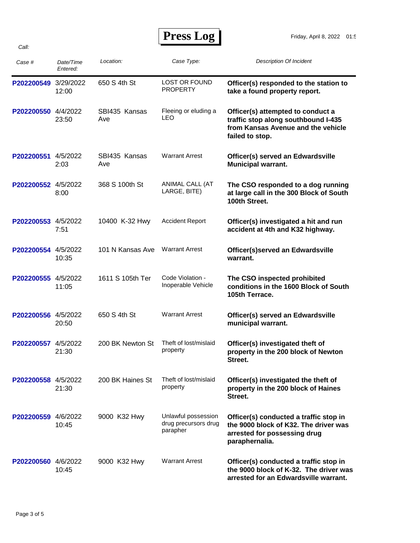*Call:*

| Case #               | Date/Time<br>Entered: | Location:            | Case Type:                                              | <b>Description Of Incident</b>                                                                                                    |
|----------------------|-----------------------|----------------------|---------------------------------------------------------|-----------------------------------------------------------------------------------------------------------------------------------|
| P202200549 3/29/2022 | 12:00                 | 650 S 4th St         | <b>LOST OR FOUND</b><br><b>PROPERTY</b>                 | Officer(s) responded to the station to<br>take a found property report.                                                           |
| P202200550 4/4/2022  | 23:50                 | SBI435 Kansas<br>Ave | Fleeing or eluding a<br><b>LEO</b>                      | Officer(s) attempted to conduct a<br>traffic stop along southbound I-435<br>from Kansas Avenue and the vehicle<br>failed to stop. |
| P202200551 4/5/2022  | 2:03                  | SBI435 Kansas<br>Ave | <b>Warrant Arrest</b>                                   | Officer(s) served an Edwardsville<br><b>Municipal warrant.</b>                                                                    |
| P202200552 4/5/2022  | 8:00                  | 368 S 100th St       | ANIMAL CALL (AT<br>LARGE, BITE)                         | The CSO responded to a dog running<br>at large call in the 300 Block of South<br>100th Street.                                    |
| P202200553 4/5/2022  | 7:51                  | 10400 K-32 Hwy       | <b>Accident Report</b>                                  | Officer(s) investigated a hit and run<br>accident at 4th and K32 highway.                                                         |
| P202200554 4/5/2022  | 10:35                 | 101 N Kansas Ave     | <b>Warrant Arrest</b>                                   | Officer(s)served an Edwardsville<br>warrant.                                                                                      |
| P202200555 4/5/2022  | 11:05                 | 1611 S 105th Ter     | Code Violation -<br>Inoperable Vehicle                  | The CSO inspected prohibited<br>conditions in the 1600 Block of South<br>105th Terrace.                                           |
| P202200556 4/5/2022  | 20:50                 | 650 S 4th St         | <b>Warrant Arrest</b>                                   | Officer(s) served an Edwardsville<br>municipal warrant.                                                                           |
| P202200557 4/5/2022  | 21:30                 | 200 BK Newton St     | Theft of lost/mislaid<br>property                       | Officer(s) investigated theft of<br>property in the 200 block of Newton<br>Street.                                                |
| P202200558 4/5/2022  | 21:30                 | 200 BK Haines St     | Theft of lost/mislaid<br>property                       | Officer(s) investigated the theft of<br>property in the 200 block of Haines<br>Street.                                            |
| P202200559 4/6/2022  | 10:45                 | 9000 K32 Hwy         | Unlawful possession<br>drug precursors drug<br>parapher | Officer(s) conducted a traffic stop in<br>the 9000 block of K32. The driver was<br>arrested for possessing drug<br>paraphernalia. |
| P202200560 4/6/2022  | 10:45                 | 9000 K32 Hwy         | <b>Warrant Arrest</b>                                   | Officer(s) conducted a traffic stop in<br>the 9000 block of K-32. The driver was<br>arrested for an Edwardsville warrant.         |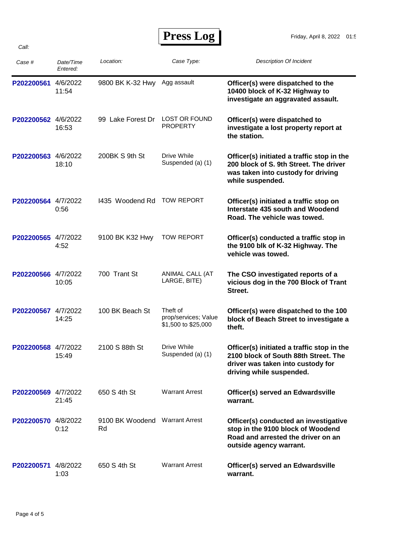| Press Log |  |
|-----------|--|
|-----------|--|

| Case #              | Date/Time<br>Entered: | Location:                            | Case Type:                                              | <b>Description Of Incident</b>                                                                                                                      |
|---------------------|-----------------------|--------------------------------------|---------------------------------------------------------|-----------------------------------------------------------------------------------------------------------------------------------------------------|
| P202200561          | 4/6/2022<br>11:54     | 9800 BK K-32 Hwy                     | Agg assault                                             | Officer(s) were dispatched to the<br>10400 block of K-32 Highway to<br>investigate an aggravated assault.                                           |
| P202200562 4/6/2022 | 16:53                 | 99 Lake Forest Dr                    | LOST OR FOUND<br><b>PROPERTY</b>                        | Officer(s) were dispatched to<br>investigate a lost property report at<br>the station.                                                              |
| P202200563          | 4/6/2022<br>18:10     | 200BK S 9th St                       | Drive While<br>Suspended (a) (1)                        | Officer(s) initiated a traffic stop in the<br>200 block of S. 9th Street. The driver<br>was taken into custody for driving<br>while suspended.      |
| P202200564 4/7/2022 | 0:56                  | 1435 Woodend Rd                      | <b>TOW REPORT</b>                                       | Officer(s) initiated a traffic stop on<br>Interstate 435 south and Woodend<br>Road. The vehicle was towed.                                          |
| P202200565 4/7/2022 | 4:52                  | 9100 BK K32 Hwy                      | <b>TOW REPORT</b>                                       | Officer(s) conducted a traffic stop in<br>the 9100 blk of K-32 Highway. The<br>vehicle was towed.                                                   |
| P202200566 4/7/2022 | 10:05                 | 700 Trant St                         | ANIMAL CALL (AT<br>LARGE, BITE)                         | The CSO investigated reports of a<br>vicious dog in the 700 Block of Trant<br>Street.                                                               |
| P202200567 4/7/2022 | 14:25                 | 100 BK Beach St                      | Theft of<br>prop/services; Value<br>\$1,500 to \$25,000 | Officer(s) were dispatched to the 100<br>block of Beach Street to investigate a<br>theft.                                                           |
| P202200568 4/7/2022 | 15:49                 | 2100 S 88th St                       | Drive While<br>Suspended (a) (1)                        | Officer(s) initiated a traffic stop in the<br>2100 block of South 88th Street. The<br>driver was taken into custody for<br>driving while suspended. |
| P202200569 4/7/2022 | 21:45                 | 650 S 4th St                         | <b>Warrant Arrest</b>                                   | Officer(s) served an Edwardsville<br>warrant.                                                                                                       |
| P202200570 4/8/2022 | 0:12                  | 9100 BK Woodend Warrant Arrest<br>Rd |                                                         | Officer(s) conducted an investigative<br>stop in the 9100 block of Woodend<br>Road and arrested the driver on an<br>outside agency warrant.         |
| P202200571 4/8/2022 | 1:03                  | 650 S 4th St                         | <b>Warrant Arrest</b>                                   | Officer(s) served an Edwardsville<br>warrant.                                                                                                       |

*Call:*